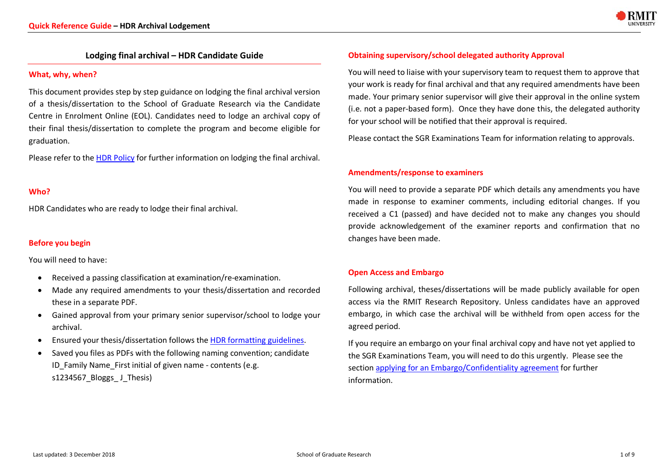

# **Lodging final archival – HDR Candidate Guide**

### **What, why, when?**

This document provides step by step guidance on lodging the final archival version of a thesis/dissertation to the School of Graduate Research via the Candidate Centre in Enrolment Online (EOL). Candidates need to lodge an archival copy of their final thesis/dissertation to complete the program and become eligible for graduation.

Please refer to the HDR Policy for further information on lodging the final archival.

### **Who?**

HDR Candidates who are ready to lodge their final archival.

### **Before you begin**

You will need to have:

- Received a passing classification at examination/re-examination.
- Made any required amendments to your thesis/dissertation and recorded these in a separate PDF.
- Gained approval from your primary senior supervisor/school to lodge your archival.
- Ensured your thesis/dissertation follows the HDR formatting guidelines.
- Saved you files as PDFs with the following naming convention; candidate ID Family Name First initial of given name - contents (e.g. s1234567\_Bloggs\_ J\_Thesis)

# **Obtaining supervisory/school delegated authority Approval**

You will need to liaise with your supervisory team to request them to approve that your work is ready for final archival and that any required amendments have been made. Your primary senior supervisor will give their approval in the online system (i.e. not a paper-based form). Once they have done this, the delegated authority for your school will be notified that their approval is required.

Please contact the SGR Examinations Team for information relating to approvals.

### **Amendments/response to examiners**

You will need to provide a separate PDF which details any amendments you have made in response to examiner comments, including editorial changes. If you received a C1 (passed) and have decided not to make any changes you should provide acknowledgement of the examiner reports and confirmation that no changes have been made.

# **Open Access and Embargo**

Following archival, theses/dissertations will be made publicly available for open access via the RMIT Research Repository. Unless candidates have an approved embargo, in which case the archival will be withheld from open access for the agreed period.

If you require an embargo on your final archival copy and have not yet applied to the SGR Examinations Team, you will need to do this urgently. Please see the section applying for an Embargo/Confidentiality agreement for further information.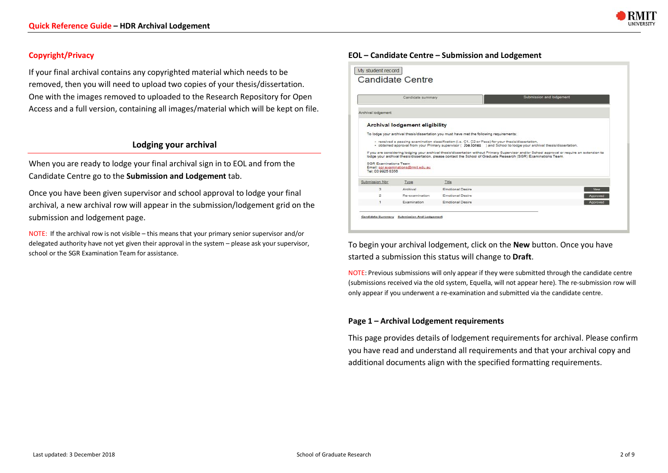

# **Copyright/Privacy**

If your final archival contains any copyrighted material which needs to be removed, then you will need to upload two copies of your thesis/dissertation. One with the images removed to uploaded to the Research Repository for Open Access and a full version, containing all images/material which will be kept on file.

# **Lodging your archival**

When you are ready to lodge your final archival sign in to EOL and from the Candidate Centre go to the **Submission and Lodgement** tab.

Once you have been given supervisor and school approval to lodge your final archival, a new archival row will appear in the submission/lodgement grid on the submission and lodgement page.

NOTE: If the archival row is not visible – this means that your primary senior supervisor and/or delegated authority have not yet given their approval in the system – please ask your supervisor, school or the SGR Examination Team for assistance.

# **EOL – Candidate Centre – Submission and Lodgement**

|                                            | Candidate summary                     |                                                                                                     | Submission and lodgement                                                                                                                                                                                                                                          |
|--------------------------------------------|---------------------------------------|-----------------------------------------------------------------------------------------------------|-------------------------------------------------------------------------------------------------------------------------------------------------------------------------------------------------------------------------------------------------------------------|
| Archival lodgement                         |                                       |                                                                                                     |                                                                                                                                                                                                                                                                   |
|                                            | <b>Archival lodgement eligibility</b> |                                                                                                     |                                                                                                                                                                                                                                                                   |
|                                            |                                       | To lodge your archival thesis/dissertation you must have met the following requirements:            |                                                                                                                                                                                                                                                                   |
|                                            |                                       |                                                                                                     |                                                                                                                                                                                                                                                                   |
|                                            |                                       |                                                                                                     |                                                                                                                                                                                                                                                                   |
|                                            |                                       | · received a passing examination classification (i.e. C1, C2 or Pass) for your thesis/dissertation. | - obtained approval from your Primary supervisor ( Joe Jones ) and School to lodge your archival thesis/dissertation.                                                                                                                                             |
| SGR Examinations Team<br>Tel: 03 9925 8356 | Email: sgr.examinations@mit.edu.au    |                                                                                                     | If you are considering lodging your archival thesis/dissertation without Primary Supervisor and/or School approval or require an extension to<br>lodge your archival thesis/dissertation, please contact the School of Graduate Research (SGR) Examinations Team. |
| Submission Nbr                             | Type                                  | Title                                                                                               |                                                                                                                                                                                                                                                                   |
| з                                          | Archival                              | Emotional Desire                                                                                    | New                                                                                                                                                                                                                                                               |
| $\overline{a}$                             | Re-examination                        | Emotional Desire                                                                                    | Approved                                                                                                                                                                                                                                                          |

To begin your archival lodgement, click on the **New** button. Once you have started a submission this status will change to **Draft**.

NOTE: Previous submissions will only appear if they were submitted through the candidate centre (submissions received via the old system, Equella, will not appear here). The re-submission row will only appear if you underwent a re-examination and submitted via the candidate centre.

# **Page 1 – Archival Lodgement requirements**

This page provides details of lodgement requirements for archival. Please confirm you have read and understand all requirements and that your archival copy and additional documents align with the specified formatting requirements.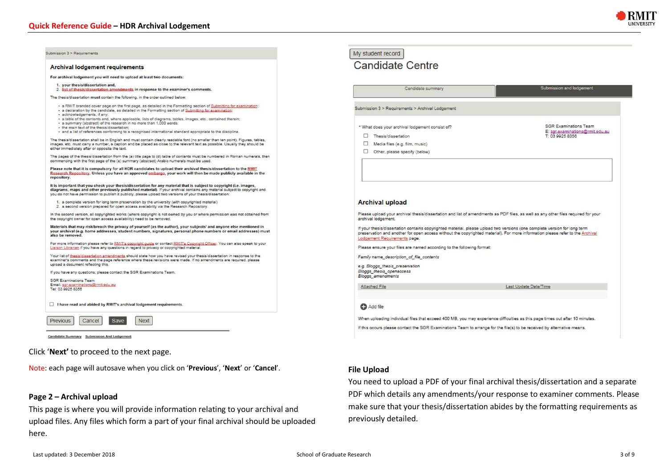

| <b>Archival lodgement requirements</b>                                                                                                                                                                                                                                                                                                                        | <b>Candidate Centre</b>                                                                                                                                                                                                                                                                    |                                                                 |
|---------------------------------------------------------------------------------------------------------------------------------------------------------------------------------------------------------------------------------------------------------------------------------------------------------------------------------------------------------------|--------------------------------------------------------------------------------------------------------------------------------------------------------------------------------------------------------------------------------------------------------------------------------------------|-----------------------------------------------------------------|
| For archival lodgement you will need to upload at least two documents:                                                                                                                                                                                                                                                                                        |                                                                                                                                                                                                                                                                                            |                                                                 |
| 1. your thesis/dissertation and,<br>2. list of thesis/dissertation amendments in response to the examiner's comments.                                                                                                                                                                                                                                         | Candidate summary                                                                                                                                                                                                                                                                          | Submission and lodgement                                        |
| The thesis/dissertation must contain the following, in the order outlined below:                                                                                                                                                                                                                                                                              |                                                                                                                                                                                                                                                                                            |                                                                 |
| · a RMIT branded cover page on the first page, as detailed in the Formatting section of Submitting for examination:<br>· a declaration by the candidate, as detailed in the Formatting section of Submitting for examination:<br>· acknowledgements, if any;                                                                                                  | Submission 3 > Requirements > Archival Lodgement                                                                                                                                                                                                                                           |                                                                 |
| · a table of the contents and, where applicable, lists of diagrams, tables, images, etc., contained therein;<br>· a summary (abstract) of the research in no more than 1,000 words;<br>· the main text of the thesis/dissertation;<br>· and a list of references conforming to a recognised international standard appropriate to the discipline.             | * What does your archival lodgement consist of?                                                                                                                                                                                                                                            | <b>SGR Examinations Team</b><br>E: sor.examinations@rmit.edu.au |
| The thesis/dissertation shall be in English and must contain clearly readable font (no smaller than ten point). Figures, tables,                                                                                                                                                                                                                              | Thesis/dissertation                                                                                                                                                                                                                                                                        | T: 03 9925 8356                                                 |
| images, etc. must carry a number, a caption and be placed as close to the relevant text as possible. Usually they should be<br>either immediately after or opposite the text.                                                                                                                                                                                 | □<br>Media files (e.g. film, music)                                                                                                                                                                                                                                                        |                                                                 |
| The pages of the thesis/dissertation from the (a) title page to (d) table of contents must be numbered in Roman numerals, then<br>commencing with the first page of the (e) summary (abstract) Arabic numerals must be used.                                                                                                                                  | □<br>Other, please specify (below)                                                                                                                                                                                                                                                         |                                                                 |
| Please note that it is compulsory for all HDR candidates to upload their archival thesis/dissertation to the RMIT<br>Research Repository. Unless you have an approved embargo, your work will then be made publicly available in the<br>repository.                                                                                                           |                                                                                                                                                                                                                                                                                            |                                                                 |
| It is important that you check your thesis/dissertation for any material that is subject to copyright (i.e. images,<br>diagrams, maps and other previously published material). If your archival contains any material subject to copyright and<br>you do not have permission to publish it publicly, please upload two versions of your thesis/dissertation: |                                                                                                                                                                                                                                                                                            |                                                                 |
| 1. a complete version for long term preservation by the university (with copyrighted material)<br>2. a second version prepared for open access availability via the Research Repository.                                                                                                                                                                      | <b>Archival upload</b>                                                                                                                                                                                                                                                                     |                                                                 |
| In the second version, all copyrighted works (where copyright is not owned by you or where permission was not obtained from<br>the copyright owner for open access availability) need to be removed.                                                                                                                                                          | Please upload your archival thesis/dissertation and list of amendments as PDF files, as well as any other files required for your<br>archival lodgement.                                                                                                                                   |                                                                 |
| Materials that may risk/breach the privacy of yourself (as the author), your subjects' and anyone else mentioned in<br>your archival (e.g. home addresses, student numbers, signatures, personal phone numbers or email addresses) must<br>also be removed.                                                                                                   | If your thesis/dissertation contains copyrighted material, please upload two versions (one complete version for long term<br>preservation and another for open access without the copyrighted material). For more information please refer to the Archival<br>Lodgement Requirements page. |                                                                 |
| For more information please refer to RMIT's copyright guide or contact RMIT's Copyright Officer. You can also speak to your<br>Lisison Librarian if you have any questions in regard to privacy or copyrighted material.                                                                                                                                      | Please ensure your files are named according to the following format:                                                                                                                                                                                                                      |                                                                 |
| Your list of thesis/dissertation amendments should state how you have revised your thesis/dissertation in response to the<br>examiner's comments and the page reference where these revisions were made. If no amendments are required, please<br>upload a document reflecting this.                                                                          | Family name description of file contents                                                                                                                                                                                                                                                   |                                                                 |
| If you have any questions, please contact the SGR Examinations Team.                                                                                                                                                                                                                                                                                          | e.g. Bloggs_thesis_preservation<br>Bloggs_thesis_openaccess                                                                                                                                                                                                                                |                                                                 |
| <b>SGR Examinations Team</b>                                                                                                                                                                                                                                                                                                                                  | Bloggs_amendments                                                                                                                                                                                                                                                                          |                                                                 |
| Email: sgr.examinations@rmit.edu.au<br>Tel: 03 9925 8356                                                                                                                                                                                                                                                                                                      | Attached File                                                                                                                                                                                                                                                                              | Last Update Date/Time                                           |
| I have read and abided by RMIT's archival lodgement requirements.                                                                                                                                                                                                                                                                                             | <b>C</b> Add file                                                                                                                                                                                                                                                                          |                                                                 |
| Previous<br>Cancel<br>Save<br><b>Next</b>                                                                                                                                                                                                                                                                                                                     | When uploading individual files that exceed 400 MB, you may experience difficulties as this page times out after 10 minutes.                                                                                                                                                               |                                                                 |
|                                                                                                                                                                                                                                                                                                                                                               | If this occurs please contact the SGR Examinations Team to arrange for the file(s) to be received by alternative means.                                                                                                                                                                    |                                                                 |
| Candidate Summary Submission And Lodgement                                                                                                                                                                                                                                                                                                                    |                                                                                                                                                                                                                                                                                            |                                                                 |

Note: each page will autosave when you click on '**Previous**', '**Next**' or '**Cancel**'.

# **Page 2 – Archival upload**

This page is where you will provide information relating to your archival and upload files. Any files which form a part of your final archival should be uploaded here.

**File Upload**

previously detailed.

You need to upload a PDF of your final archival thesis/dissertation and a separate PDF which details any amendments/your response to examiner comments. Please make sure that your thesis/dissertation abides by the formatting requirements as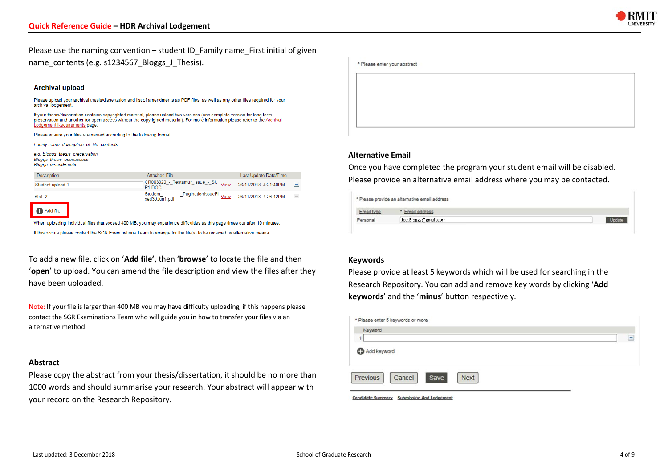

Please use the naming convention – student ID\_Family name\_First initial of given name\_contents (e.g. s1234567\_Bloggs\_J\_Thesis).

#### **Archival upload**

Please upload your archival thesis/dissertation and list of amendments as PDF files, as well as any other files required for your archival lodgement

If your thesis/dissertation contains copyrighted material, please upload two versions (one complete version for long term in your measurement of the content of the copyrighted material). For more information please refer to the Archival preservation and another for open access without the copyrighted material). For more information please ref Lodgement Requirements page.

Please ensure your files are named according to the following format:

Family name description of file contents

e.g. Bloggs thesis preservation **Bloggs** thesis openaccess Bloggs amendments

| <b>Description</b> | <b>Attached File</b>                                           | Last Update Date/Time                                   |
|--------------------|----------------------------------------------------------------|---------------------------------------------------------|
| Student upload 1   | CR003320_-_Testamur_Issue_-_SU<br>View<br>P <sub>1</sub> , DOC | $\overline{\phantom{0}}$<br>26/11/2018 4:21:40PM        |
| Staff <sub>2</sub> | Student<br>PaginationIssueFi<br>View<br>xed30Jun1.pdf          | $\hspace{0.1cm}-\hspace{0.1cm}$<br>26/11/2018 4:26:42PM |
| <b>C</b> Add file  |                                                                |                                                         |

When uploading individual files that exceed 400 MB, you may experience difficulties as this page times out after 10 minutes.

If this occurs please contact the SGR Examinations Team to arrange for the file(s) to be received by alternative means

To add a new file, click on '**Add file'**, then '**browse**' to locate the file and then '**open**' to upload. You can amend the file description and view the files after they have been uploaded.

Note: If your file is larger than 400 MB you may have difficulty uploading, if this happens please contact the SGR Examinations Team who will guide you in how to transfer your files via an alternative method.

#### **Abstract**

Please copy the abstract from your thesis/dissertation, it should be no more than 1000 words and should summarise your research. Your abstract will appear with your record on the Research Repository.

# **Alternative Email**

Once you have completed the program your student email will be disabled. Please provide an alternative email address where you may be contacted.

|            | * Please provide an alternative email address |  |
|------------|-----------------------------------------------|--|
| Email type | * Email address                               |  |
| Personal   | Joe.Bloggs@gmail.com                          |  |

#### **Keywords**

Please provide at least 5 keywords which will be used for searching in the Research Repository. You can add and remove key words by clicking '**Add keywords**' and the '**minus**' button respectively.

| * Please enter 5 keywords or more         |   |
|-------------------------------------------|---|
| Keyword                                   |   |
| 1<br>Add keyword                          | - |
| Previous<br>Cancel<br>Save<br><b>Next</b> |   |

Candidate Summary Submission And Lodgement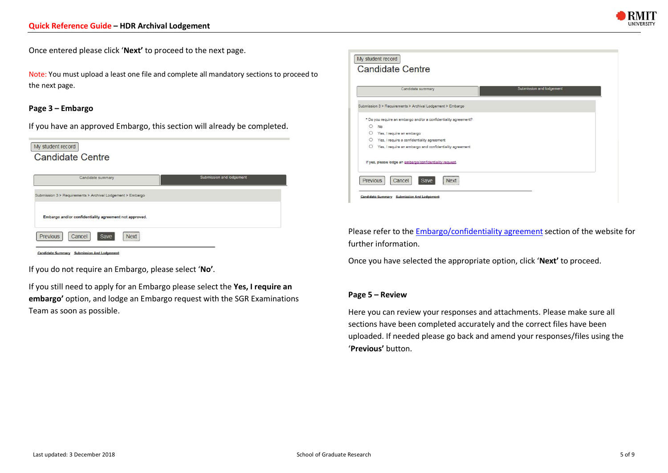

Once entered please click '**Next'** to proceed to the next page.

Note: You must upload a least one file and complete all mandatory sections to proceed to the next page.

## **Page 3 – Embargo**

If you have an approved Embargo, this section will already be completed.

| Submission and lodgement<br>Candidate summary |  |
|-----------------------------------------------|--|
|-----------------------------------------------|--|

Candidate Summary Submission And Lodgement

If you do not require an Embargo, please select '**No'**.

If you still need to apply for an Embargo please select the **Yes, I require an**  embargo' option, and lodge an Embargo request with the SGR Examinations Team as soon as possible.

|         | Candidate summary                                               | Submission and lodgement |
|---------|-----------------------------------------------------------------|--------------------------|
|         | Submission 3 > Requirements > Archival Lodgement > Embargo      |                          |
|         | * Do you require an embargo and/or a confidentiality agreement? |                          |
| $\circ$ | No                                                              |                          |
| $\circ$ | Yes, I require an embargo                                       |                          |
| $\circ$ | Yes, I require a confidentiality agreement                      |                          |
| $\circ$ | Yes, I require an embargo and confidentiality agreement         |                          |
|         | If yes, please lodge an embargo/confidentiality request.        |                          |

Please refer to the Embargo/confidentiality agreement section of the website for further information.

Once you have selected the appropriate option, click '**Next'** to proceed.

#### **Page 5 – Review**

Here you can review your responses and attachments. Please make sure all sections have been completed accurately and the correct files have been uploaded. If needed please go back and amend your responses/files using the '**Previous'** button.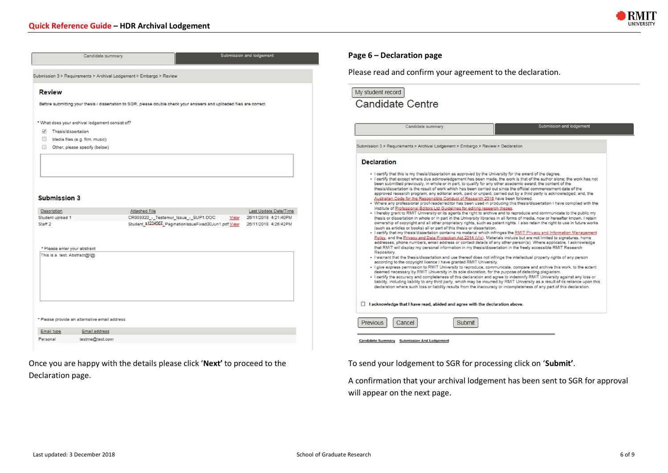

|                                                                                                                                                                                                                                                                                                                                               | Candidate summary                                                   |                                                                                                                       | Submission and lodgement                             | Page 6 - Decl                                                                                                                                   |
|-----------------------------------------------------------------------------------------------------------------------------------------------------------------------------------------------------------------------------------------------------------------------------------------------------------------------------------------------|---------------------------------------------------------------------|-----------------------------------------------------------------------------------------------------------------------|------------------------------------------------------|-------------------------------------------------------------------------------------------------------------------------------------------------|
|                                                                                                                                                                                                                                                                                                                                               | Submission 3 > Requirements > Archival Lodgement > Embargo > Review |                                                                                                                       |                                                      | Please read a                                                                                                                                   |
| <b>Review</b>                                                                                                                                                                                                                                                                                                                                 |                                                                     |                                                                                                                       |                                                      | My student reco                                                                                                                                 |
|                                                                                                                                                                                                                                                                                                                                               |                                                                     | Before submitting your thesis / dissertation to SGR, please double check your answers and uploaded files are correct. |                                                      | Candida                                                                                                                                         |
|                                                                                                                                                                                                                                                                                                                                               | * What does your archival lodgement consist of?                     |                                                                                                                       |                                                      |                                                                                                                                                 |
| Thesis/dissertation<br>$\checkmark$                                                                                                                                                                                                                                                                                                           |                                                                     |                                                                                                                       |                                                      |                                                                                                                                                 |
| o.                                                                                                                                                                                                                                                                                                                                            | Media files (e.g. film, music)                                      |                                                                                                                       |                                                      |                                                                                                                                                 |
| $\begin{picture}(20,20) \put(0,0){\line(1,0){0.5}} \put(15,0){\line(1,0){0.5}} \put(15,0){\line(1,0){0.5}} \put(15,0){\line(1,0){0.5}} \put(15,0){\line(1,0){0.5}} \put(15,0){\line(1,0){0.5}} \put(15,0){\line(1,0){0.5}} \put(15,0){\line(1,0){0.5}} \put(15,0){\line(1,0){0.5}} \put(15,0){\line(1,0){0.5}} \put(15,0){\line(1,0){0.5}} \$ | Other, please specify (below)                                       |                                                                                                                       |                                                      | Submission 3 > Requ                                                                                                                             |
|                                                                                                                                                                                                                                                                                                                                               |                                                                     |                                                                                                                       |                                                      | <b>Declaration</b>                                                                                                                              |
|                                                                                                                                                                                                                                                                                                                                               |                                                                     |                                                                                                                       |                                                      | - I certify that<br>- I certify that                                                                                                            |
| <b>Submission 3</b>                                                                                                                                                                                                                                                                                                                           |                                                                     |                                                                                                                       |                                                      | been subm<br>thesis/disse<br>approved re<br>Australian (<br>- Where any                                                                         |
| Description                                                                                                                                                                                                                                                                                                                                   |                                                                     | Attached File                                                                                                         | Last Update Date/Time                                | Institute of<br>- I hereby gra                                                                                                                  |
| Student upload 1<br>Staff <sub>2</sub>                                                                                                                                                                                                                                                                                                        |                                                                     | CR003320 - Testamur Issue - SUP1.DOC<br>Student \$1234567, PaginationIssueFixed30Jun1.pdf View                        | 26/11/2018 4:21:40PM<br>View<br>26/11/2018 4:26:42PM | thesis or di<br>ownership<br>(such as ar<br>- I certify that<br>Policy, and<br>addresses.                                                       |
| * Please enter your abstract<br>This is a test. Abstract@!@                                                                                                                                                                                                                                                                                   |                                                                     |                                                                                                                       |                                                      | that RMIT v<br>Repository.<br>- I warrant th<br>according t<br>- I give expre<br>deemed ne<br>- I certify the<br>liability, incl<br>declaration |
|                                                                                                                                                                                                                                                                                                                                               |                                                                     |                                                                                                                       |                                                      | I acknowledg                                                                                                                                    |
|                                                                                                                                                                                                                                                                                                                                               | * Please provide an alternative email address                       |                                                                                                                       |                                                      | <b>Previous</b>                                                                                                                                 |
| Email type                                                                                                                                                                                                                                                                                                                                    | Email address                                                       |                                                                                                                       |                                                      |                                                                                                                                                 |

Once you are happy with the details please click '**Next'** to proceed to the Declaration page.

# **Page 6 – Declaration page**

and confirm your agreement to the declaration.

|                    | Candidate summary                                                                                                                                                                                                                                                                                                                                                                                                                                                                                                                                                                                                        | Submission and lodgement                                                                                                                                                                                                                                                                                                                                                                                                                                                                                                                                                                                                                                                                                                                                                                                                                                                                                                                                                                                                                                                                                                                                                                                                                                                                                                                                                                                                                                                                                                                                                                                                                                                                                                                                                                                                                                                                                                                                                                                                                                                                                                                                          |
|--------------------|--------------------------------------------------------------------------------------------------------------------------------------------------------------------------------------------------------------------------------------------------------------------------------------------------------------------------------------------------------------------------------------------------------------------------------------------------------------------------------------------------------------------------------------------------------------------------------------------------------------------------|-------------------------------------------------------------------------------------------------------------------------------------------------------------------------------------------------------------------------------------------------------------------------------------------------------------------------------------------------------------------------------------------------------------------------------------------------------------------------------------------------------------------------------------------------------------------------------------------------------------------------------------------------------------------------------------------------------------------------------------------------------------------------------------------------------------------------------------------------------------------------------------------------------------------------------------------------------------------------------------------------------------------------------------------------------------------------------------------------------------------------------------------------------------------------------------------------------------------------------------------------------------------------------------------------------------------------------------------------------------------------------------------------------------------------------------------------------------------------------------------------------------------------------------------------------------------------------------------------------------------------------------------------------------------------------------------------------------------------------------------------------------------------------------------------------------------------------------------------------------------------------------------------------------------------------------------------------------------------------------------------------------------------------------------------------------------------------------------------------------------------------------------------------------------|
|                    | Submission 3 > Requirements > Archival Lodgement > Embargo > Review > Declaration                                                                                                                                                                                                                                                                                                                                                                                                                                                                                                                                        |                                                                                                                                                                                                                                                                                                                                                                                                                                                                                                                                                                                                                                                                                                                                                                                                                                                                                                                                                                                                                                                                                                                                                                                                                                                                                                                                                                                                                                                                                                                                                                                                                                                                                                                                                                                                                                                                                                                                                                                                                                                                                                                                                                   |
| <b>Declaration</b> |                                                                                                                                                                                                                                                                                                                                                                                                                                                                                                                                                                                                                          |                                                                                                                                                                                                                                                                                                                                                                                                                                                                                                                                                                                                                                                                                                                                                                                                                                                                                                                                                                                                                                                                                                                                                                                                                                                                                                                                                                                                                                                                                                                                                                                                                                                                                                                                                                                                                                                                                                                                                                                                                                                                                                                                                                   |
| Repository.        | - I certify that this is my thesis/dissertation as approved by the University for the award of the degree.<br>Australian Code for the Responsible Conduct of Research 2018 have been followed.<br>Institute of Professional Editors Ltd Guidelines for editing research theses.<br>(such as articles or books) all or part of this thesis or dissertation.<br>according to the copyright licence I have granted RMIT University.<br>deemed necessary by RMIT University in its sole discretion, for the purpose of detecting plagiarism.<br>I acknowledge that I have read, abided and agree with the declaration above. | · I certify that except where due acknowledgement has been made, the work is that of the author alone; the work has not<br>been submitted previously, in whole or in part, to qualify for any other academic award; the content of the<br>thesis/dissertation is the result of work which has been carried out since the official commencement date of the<br>approved research program; any editorial work, paid or unpaid, carried out by a third party is acknowledged; and, the<br>· Where any professional proof-reader/editor has been used in producing this thesis/dissertation I have complied with the<br>- I hereby grant to RMIT University or its agents the right to archive and to reproduce and communicate to the public my<br>thesis or dissertation in whole or in part in the University libraries in all forms of media, now or hereafter known. I retain<br>ownership of copyright and all other proprietary rights, such as patent rights. I also retain the right to use in future works<br>- I certify that my thesis/dissertation contains no material which infringes the RMIT Privacy and Information Management<br>Policy, and the Privacy and Data Protection Act 2014 (Vic). Materials include but are not limited to signatures, home<br>addresses, phone numbers, email address or contact details of any other person(s). Where applicable, I acknowledge<br>that RMIT will display my personal information in my thesis/dissertation in the freely accessible RMIT Research<br>- I warrant that the thesis/dissertation and use thereof does not infringe the intellectual property rights of any person<br>- I give express permission to RMIT University to reproduce, communicate, compare and archive this work, to the extent<br>- I certify the accuracy and completeness of this declaration and agree to indemnify RMIT University against any loss or<br>liability, including liability to any third party, which may be incurred by RMIT University as a result of its reliance upon this<br>declaration where such loss or liability results from the inaccuracy or incompleteness of any part of this declaration. |

Submission And Lodgement

To send your lodgement to SGR for processing click on '**Submit'**.

A confirmation that your archival lodgement has been sent to SGR for approval will appear on the next page.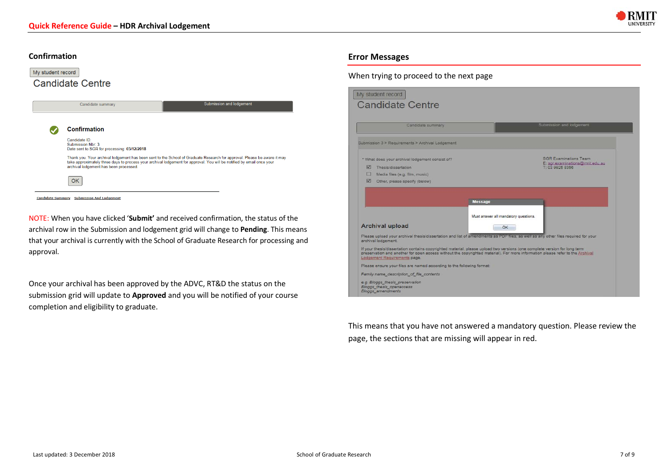

### **Confirmation**

| My student record |                                                                                   |                                                                                                                                                                                                                                                    |
|-------------------|-----------------------------------------------------------------------------------|----------------------------------------------------------------------------------------------------------------------------------------------------------------------------------------------------------------------------------------------------|
|                   | <b>Candidate Centre</b>                                                           |                                                                                                                                                                                                                                                    |
|                   |                                                                                   |                                                                                                                                                                                                                                                    |
|                   | Candidate summary                                                                 | <b>Submission and lodgement</b>                                                                                                                                                                                                                    |
|                   |                                                                                   |                                                                                                                                                                                                                                                    |
|                   | <b>Confirmation</b>                                                               |                                                                                                                                                                                                                                                    |
|                   | Candidate ID:<br>Submission Nbr: 3<br>Date sent to SGR for processing: 03/12/2018 |                                                                                                                                                                                                                                                    |
|                   | archival lodgement has been processed.                                            | Thank you. Your archival lodgement has been sent to the School of Graduate Research for approval. Please be aware it may<br>take approximately three days to process your archival lodgement for approval. You will be notified by email once your |
|                   | OК                                                                                |                                                                                                                                                                                                                                                    |
|                   | <b>Candidate Summary</b> Submission And Lodgement                                 |                                                                                                                                                                                                                                                    |

NOTE: When you have clicked '**Submit'** and received confirmation, the status of the archival row in the Submission and lodgement grid will change to **Pending**. This means that your archival is currently with the School of Graduate Research for processing and approval.

Once your archival has been approved by the ADVC, RT&D the status on the submission grid will update to **Approved** and you will be notified of your course completion and eligibility to graduate.

# **Error Messages**

# When trying to proceed to the next page

| Candidate summary                                                                                                                                                                                                                                                                                                                                                                                                                                                                                                                                                                                                                                               | Submission and lodgement                           |
|-----------------------------------------------------------------------------------------------------------------------------------------------------------------------------------------------------------------------------------------------------------------------------------------------------------------------------------------------------------------------------------------------------------------------------------------------------------------------------------------------------------------------------------------------------------------------------------------------------------------------------------------------------------------|----------------------------------------------------|
| Submission 3 > Requirements > Archival Lodgement                                                                                                                                                                                                                                                                                                                                                                                                                                                                                                                                                                                                                |                                                    |
| * What does your archival lodgement consist of?                                                                                                                                                                                                                                                                                                                                                                                                                                                                                                                                                                                                                 | <b>SGR Examinations Team</b>                       |
| 罓<br>Thesis/dissertation                                                                                                                                                                                                                                                                                                                                                                                                                                                                                                                                                                                                                                        | E: sor.examinations@rmit.edu.au<br>T: 03 9925 8356 |
| п<br>Media files (e.g. film, music)                                                                                                                                                                                                                                                                                                                                                                                                                                                                                                                                                                                                                             |                                                    |
| <b>M</b><br>Other, please specify (below)                                                                                                                                                                                                                                                                                                                                                                                                                                                                                                                                                                                                                       |                                                    |
|                                                                                                                                                                                                                                                                                                                                                                                                                                                                                                                                                                                                                                                                 | Must answer all mandatory questions.               |
| <b>Archival upload</b>                                                                                                                                                                                                                                                                                                                                                                                                                                                                                                                                                                                                                                          | OK.                                                |
|                                                                                                                                                                                                                                                                                                                                                                                                                                                                                                                                                                                                                                                                 |                                                    |
|                                                                                                                                                                                                                                                                                                                                                                                                                                                                                                                                                                                                                                                                 |                                                    |
|                                                                                                                                                                                                                                                                                                                                                                                                                                                                                                                                                                                                                                                                 |                                                    |
|                                                                                                                                                                                                                                                                                                                                                                                                                                                                                                                                                                                                                                                                 |                                                    |
|                                                                                                                                                                                                                                                                                                                                                                                                                                                                                                                                                                                                                                                                 |                                                    |
|                                                                                                                                                                                                                                                                                                                                                                                                                                                                                                                                                                                                                                                                 |                                                    |
| Please upload your archival thesis/dissertation and list of amendments as PDF files, as well as any other files required for your<br>archival lodgement.<br>If your thesis/dissertation contains copyrighted material, please upload two versions (one complete version for long term<br>preservation and another for open access without the copyrighted material). For more information please refer to the Archival<br>Lodgement Requirements page.<br>Please ensure your files are named according to the following format:<br>Family name_description_of_file_contents<br>e.g. Bloggs thesis preservation<br>Bloggs_thesis_openaccess<br>Bloggs amendments |                                                    |

This means that you have not answered a mandatory question. Please review the page, the sections that are missing will appear in red.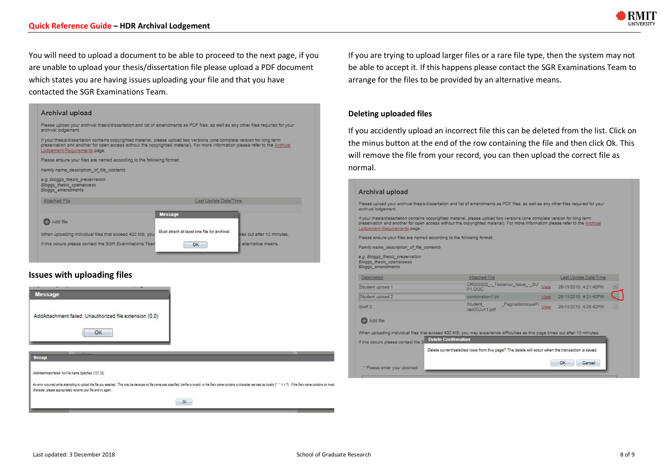

You will need to upload a document to be able to proceed to the next page, if you are unable to upload your thesis/dissertation file please upload a PDF document which states you are having issues uploading your file and that you have contacted the SGR Examinations Team.

| Please upload your archival thesis/dissertation and list of amendments as PDF files, as well as any other files required for your<br>archival lodgement.                                                                                                                                   |                                            |                           |
|--------------------------------------------------------------------------------------------------------------------------------------------------------------------------------------------------------------------------------------------------------------------------------------------|--------------------------------------------|---------------------------|
| If your thesis/dissertation contains copyrighted material, please upload two versions (one complete version for long term<br>preservation and another for open access without the copyrighted material). For more information please refer to the Archival<br>Lodgement Requirements page. |                                            |                           |
| Please ensure your files are named according to the following format:                                                                                                                                                                                                                      |                                            |                           |
|                                                                                                                                                                                                                                                                                            |                                            |                           |
|                                                                                                                                                                                                                                                                                            |                                            |                           |
|                                                                                                                                                                                                                                                                                            |                                            |                           |
| Attached File                                                                                                                                                                                                                                                                              | Last Update Date/Time                      |                           |
|                                                                                                                                                                                                                                                                                            | <b>Message</b>                             |                           |
| <b>CD</b> Add file                                                                                                                                                                                                                                                                         |                                            |                           |
| Family name description of file contents<br>e.g. Bloggs_thesis_preservation<br>Bloggs thesis openaccess<br>Bloggs_amendments<br>When uploading individual files that exceed 400 MB, you                                                                                                    | Must attach at least one file for archival | nes out after 10 minutes. |

# **Issues with uploading files**



If you are trying to upload larger files or a rare file type, then the system may not be able to accept it. If this happens please contact the SGR Examinations Team to arrange for the files to be provided by an alternative means.

### **Deleting uploaded files**

If you accidently upload an incorrect file this can be deleted from the list. Click on the minus button at the end of the row containing the file and then click Ok. This will remove the file from your record, you can then upload the correct file as normal.

#### **Archival upload**

Please upload your archival thesis/dissertation and list of amendments as PDF files, as well as any other files required for your archival lodgement.

If your thesis/dissertation contains copyrighted material, please upload two versions (one complete version for long term preservation and another for open access without the copyrighted material). For more information please refer to the Archival Lodgement Requirements page.

Please ensure your files are named according to the following format:

Family name\_description\_of\_file\_contents

e.g. Bloggs\_thesis\_preservation Bloggs\_thesis\_openaccess

| <b>Description</b> | Attached File                                            | Last Update Date/Time                            |
|--------------------|----------------------------------------------------------|--------------------------------------------------|
| Student upload 1   | CR003320_-_Testamur_Issue_-_SU \tew 26/11/2018 4:21:40PM | $-$                                              |
| Student upload 2   | combination1.btt                                         | g i<br>View 26/11/2018 4:21:40PM                 |
| Staff <sub>2</sub> | Student<br>Hor toud 02hov                                | PaginationIssueFi View 26/11/2018 4:26:42PM<br>œ |

#### **C** Add file

When uploading individual files that exceed 400 MB, you may experience difficulties as this page times out after 10 minutes.

Delete Confirmation If this occurs please contact the S

Delete current/selected rows from this page? The delete will occur when the transaction is saved.

OK Cancel

\* Please enter your abstract